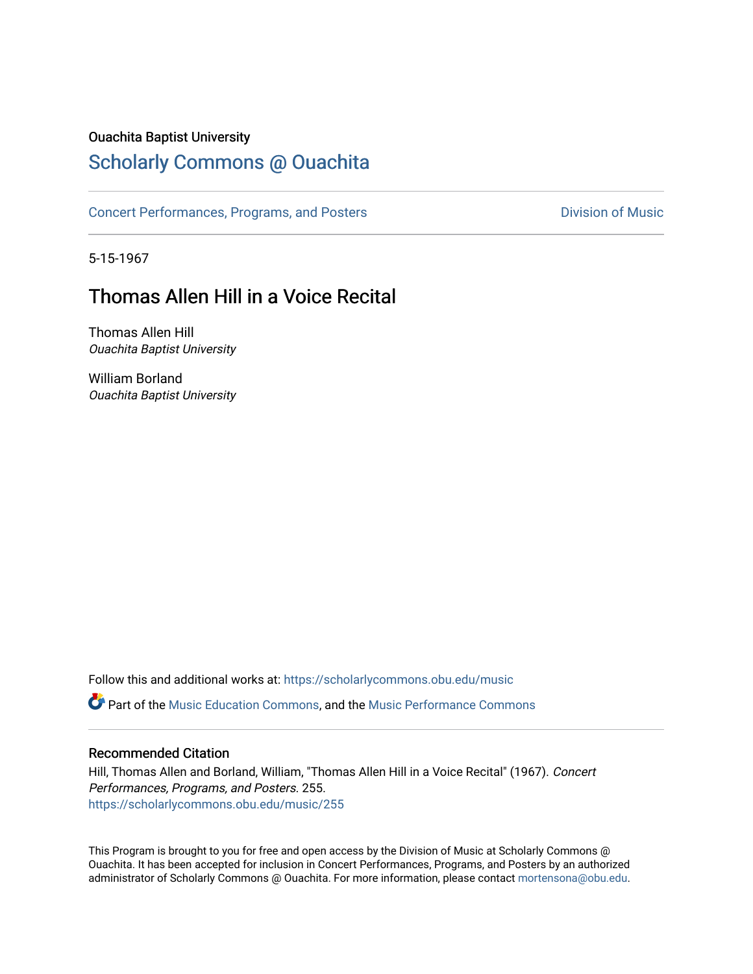#### Ouachita Baptist University

## [Scholarly Commons @ Ouachita](https://scholarlycommons.obu.edu/)

[Concert Performances, Programs, and Posters](https://scholarlycommons.obu.edu/music) **Division of Music** Division of Music

5-15-1967

## Thomas Allen Hill in a Voice Recital

Thomas Allen Hill Ouachita Baptist University

William Borland Ouachita Baptist University

Follow this and additional works at: [https://scholarlycommons.obu.edu/music](https://scholarlycommons.obu.edu/music?utm_source=scholarlycommons.obu.edu%2Fmusic%2F255&utm_medium=PDF&utm_campaign=PDFCoverPages)  **C** Part of the [Music Education Commons,](http://network.bepress.com/hgg/discipline/1246?utm_source=scholarlycommons.obu.edu%2Fmusic%2F255&utm_medium=PDF&utm_campaign=PDFCoverPages) and the Music Performance Commons

#### Recommended Citation

Hill, Thomas Allen and Borland, William, "Thomas Allen Hill in a Voice Recital" (1967). Concert Performances, Programs, and Posters. 255. [https://scholarlycommons.obu.edu/music/255](https://scholarlycommons.obu.edu/music/255?utm_source=scholarlycommons.obu.edu%2Fmusic%2F255&utm_medium=PDF&utm_campaign=PDFCoverPages) 

This Program is brought to you for free and open access by the Division of Music at Scholarly Commons @ Ouachita. It has been accepted for inclusion in Concert Performances, Programs, and Posters by an authorized administrator of Scholarly Commons @ Ouachita. For more information, please contact [mortensona@obu.edu](mailto:mortensona@obu.edu).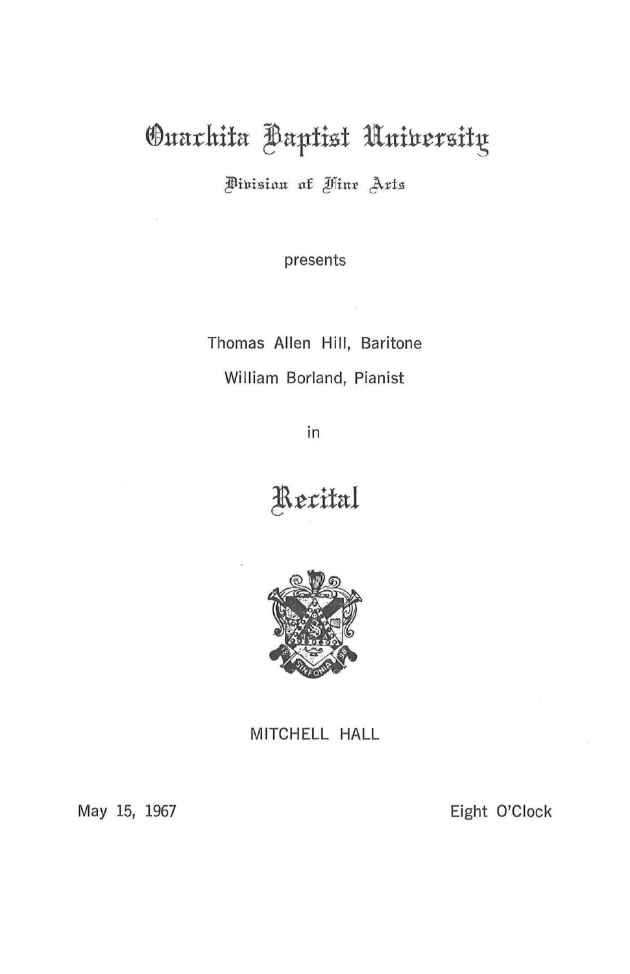# Ouarhita Baptist University

Pinisian of Hine Arts

presents

Thomas Allen Hill, Baritone William Borland, Pianist

in

**!\t:cifal** 



MITCHELL HALL

May 15, 1967

Eight O'Clock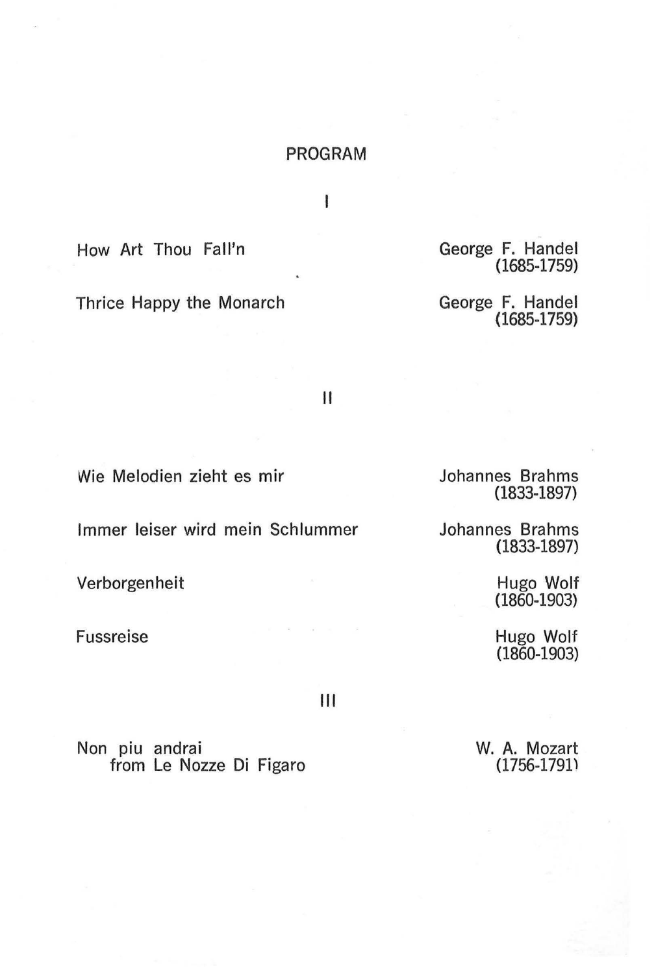#### PROGRAM

I

How Art Thou Fall'n

Thrice Happy the Monarch

George F. Handel (1685-1759)

George F. Handel (1685-1759)

II

Wie Melodien zieht es mir

lmmer Ieiser wird mein Schlummer

Verborgenheit

Fussreise

Johannes Brahms (1833-1897)

Johannes Brahms (1833-1897)

> Hugo Wolf (1860-1903)

Hugo Wolf (1860-1903)

Ill

Non piu andrai from Le Nozze Di Figaro W. A. Mozart (1756-1791)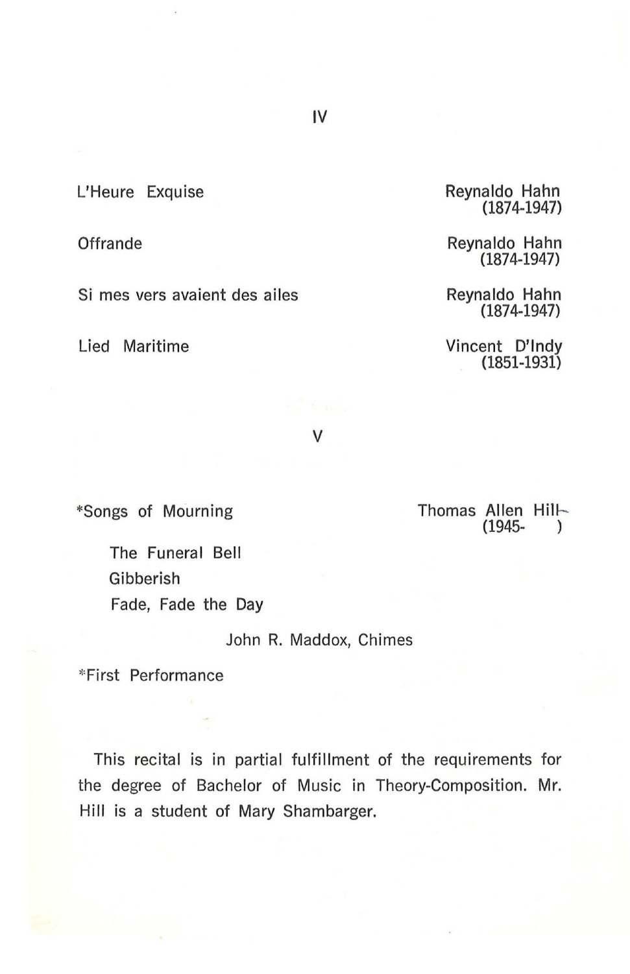L'Heure Exquise

**Offrande** 

Si mes vers avaient des ailes

Lied Maritime

Reynaldo Hahn (1874-1947)

Reynaldo Hahn (1874-1947)

Reynaldo Hahn (1874-1947)

Vincent D'lndy (1851-1931)

v

"'Songs of Mourning

Thomas Allen Hill-(1945- )

The Funeral Bell Gibberish Fade, Fade the Day

John R. Maddox, Chimes

\*First Performance

This recital is in partial fulfillment of the requirements for the degree of Bachelor of Music in Theory-Composition. Mr. Hill is a student of Mary Shambarger.